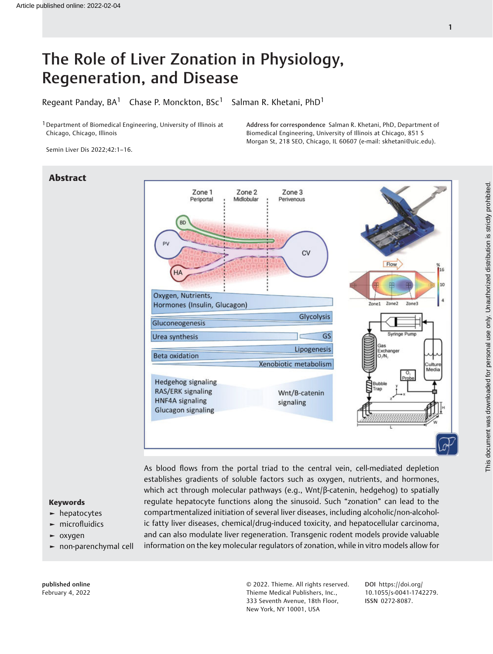# The Role of Liver Zonation in Physiology, Regeneration, and Disease

Regeant Panday,  $BA^1$  Chase P. Monckton,  $BSc^1$  Salman R. Khetani, PhD<sup>1</sup>

<sup>1</sup> Department of Biomedical Engineering, University of Illinois at Chicago, Chicago, Illinois

Address for correspondence Salman R. Khetani, PhD, Department of Biomedical Engineering, University of Illinois at Chicago, 851 S Morgan St, 218 SEO, Chicago, IL 60607 (e-mail: [skhetani@uic.edu](mailto:skhetani@uic.edu)).

Semin Liver Dis 2022;42:1–16.

# Abstract



As blood flows from the portal triad to the central vein, cell-mediated depletion establishes gradients of soluble factors such as oxygen, nutrients, and hormones, which act through molecular pathways (e.g., Wnt/β-catenin, hedgehog) to spatially regulate hepatocyte functions along the sinusoid. Such "zonation" can lead to the compartmentalized initiation of several liver diseases, including alcoholic/non-alcoholic fatty liver diseases, chemical/drug-induced toxicity, and hepatocellular carcinoma, and can also modulate liver regeneration. Transgenic rodent models provide valuable information on the key molecular regulators of zonation, while in vitro models allow for

# Keywords

- ► hepatocytes
- ► microfluidics
- ► oxygen
- ► non-parenchymal cell

published online February 4, 2022 © 2022. Thieme. All rights reserved. Thieme Medical Publishers, Inc., 333 Seventh Avenue, 18th Floor, New York, NY 10001, USA

DOI [https://doi.org/](https://doi.org/10.1055/s-0041-1742279) [10.1055/s-0041-1742279](https://doi.org/10.1055/s-0041-1742279). ISSN 0272-8087.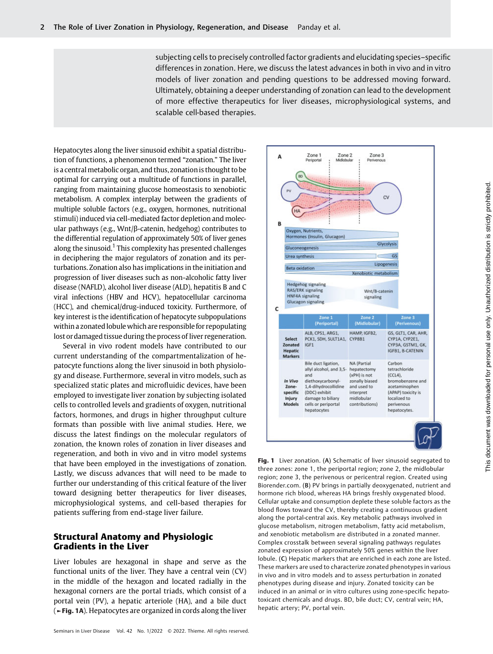subjecting cells to precisely controlled factor gradients and elucidating species–specific differences in zonation. Here, we discuss the latest advances in both in vivo and in vitro models of liver zonation and pending questions to be addressed moving forward. Ultimately, obtaining a deeper understanding of zonation can lead to the development of more effective therapeutics for liver diseases, microphysiological systems, and scalable cell-based therapies.

Hepatocytes along the liver sinusoid exhibit a spatial distribution of functions, a phenomenon termed "zonation." The liver is a central metabolic organ, and thus, zonation is thought to be optimal for carrying out a multitude of functions in parallel, ranging from maintaining glucose homeostasis to xenobiotic metabolism. A complex interplay between the gradients of multiple soluble factors (e.g., oxygen, hormones, nutritional stimuli) induced via cell-mediated factor depletion and molecular pathways (e.g., Wnt/β-catenin, hedgehog) contributes to the differential regulation of approximately 50% of liver genes along the sinusoid.<sup>1</sup> This complexity has presented challenges in deciphering the major regulators of zonation and its perturbations. Zonation also has implications in the initiation and progression of liver diseases such as non-alcoholic fatty liver disease (NAFLD), alcohol liver disease (ALD), hepatitis B and C viral infections (HBV and HCV), hepatocellular carcinoma (HCC), and chemical/drug-induced toxicity. Furthermore, of key interest is the identification of hepatocyte subpopulations within a zonated lobule which are responsible for repopulating lost or damaged tissue during the process of liver regeneration.

Several in vivo rodent models have contributed to our current understanding of the compartmentalization of hepatocyte functions along the liver sinusoid in both physiology and disease. Furthermore, several in vitro models, such as specialized static plates and microfluidic devices, have been employed to investigate liver zonation by subjecting isolated cells to controlled levels and gradients of oxygen, nutritional factors, hormones, and drugs in higher throughput culture formats than possible with live animal studies. Here, we discuss the latest findings on the molecular regulators of zonation, the known roles of zonation in liver diseases and regeneration, and both in vivo and in vitro model systems that have been employed in the investigations of zonation. Lastly, we discuss advances that will need to be made to further our understanding of this critical feature of the liver toward designing better therapeutics for liver diseases, microphysiological systems, and cell-based therapies for patients suffering from end-stage liver failure.

# Structural Anatomy and Physiologic Gradients in the Liver

Liver lobules are hexagonal in shape and serve as the functional units of the liver. They have a central vein (CV) in the middle of the hexagon and located radially in the hexagonal corners are the portal triads, which consist of a portal vein (PV), a hepatic arteriole (HA), and a bile duct (►Fig. 1A). Hepatocytes are organized in cords along the liver



Fig. 1 Liver zonation. (A) Schematic of liver sinusoid segregated to three zones: zone 1, the periportal region; zone 2, the midlobular region; zone 3, the perivenous or pericentral region. Created using Biorender.com. (B) PV brings in partially deoxygenated, nutrient and hormone rich blood, whereas HA brings freshly oxygenated blood. Cellular uptake and consumption deplete these soluble factors as the blood flows toward the CV, thereby creating a continuous gradient along the portal-central axis. Key metabolic pathways involved in glucose metabolism, nitrogen metabolism, fatty acid metabolism, and xenobiotic metabolism are distributed in a zonated manner. Complex crosstalk between several signaling pathways regulates zonated expression of approximately 50% genes within the liver lobule. (C) Hepatic markers that are enriched in each zone are listed. These markers are used to characterize zonated phenotypes in various in vivo and in vitro models and to assess perturbation in zonated phenotypes during disease and injury. Zonated toxicity can be induced in an animal or in vitro cultures using zone-specific hepatotoxicant chemicals and drugs. BD, bile duct; CV, central vein; HA, hepatic artery; PV, portal vein.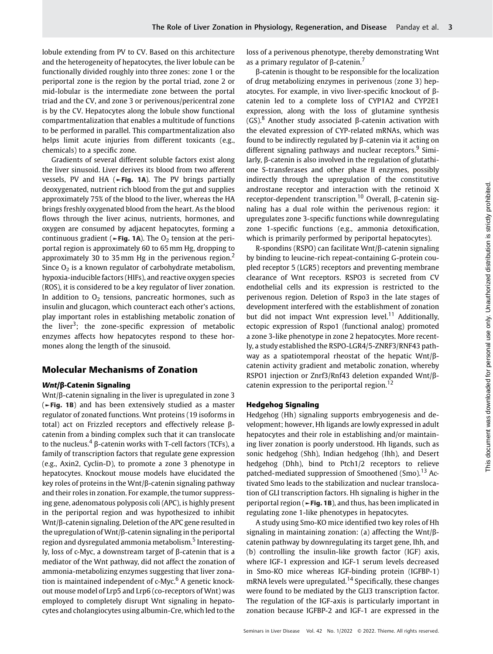lobule extending from PV to CV. Based on this architecture and the heterogeneity of hepatocytes, the liver lobule can be functionally divided roughly into three zones: zone 1 or the periportal zone is the region by the portal triad, zone 2 or mid-lobular is the intermediate zone between the portal triad and the CV, and zone 3 or perivenous/pericentral zone is by the CV. Hepatocytes along the lobule show functional compartmentalization that enables a multitude of functions to be performed in parallel. This compartmentalization also helps limit acute injuries from different toxicants (e.g., chemicals) to a specific zone.

Gradients of several different soluble factors exist along the liver sinusoid. Liver derives its blood from two afferent vessels, PV and HA (►Fig. 1A). The PV brings partially deoxygenated, nutrient rich blood from the gut and supplies approximately 75% of the blood to the liver, whereas the HA brings freshly oxygenated blood from the heart. As the blood flows through the liver acinus, nutrients, hormones, and oxygen are consumed by adjacent hepatocytes, forming a continuous gradient ( $\blacktriangleright$ Fig. 1A). The O<sub>2</sub> tension at the periportal region is approximately 60 to 65 mm Hg, dropping to approximately 30 to 35 mm Hg in the perivenous region.<sup>2</sup> Since  $O<sub>2</sub>$  is a known regulator of carbohydrate metabolism, hypoxia-inducible factors (HIFs), and reactive oxygen species (ROS), it is considered to be a key regulator of liver zonation. In addition to  $O<sub>2</sub>$  tensions, pancreatic hormones, such as insulin and glucagon, which counteract each other's actions, play important roles in establishing metabolic zonation of the liver<sup>3</sup>; the zone-specific expression of metabolic enzymes affects how hepatocytes respond to these hormones along the length of the sinusoid.

# Molecular Mechanisms of Zonation

### Wnt/β-Catenin Signaling

Wnt/β-catenin signaling in the liver is upregulated in zone 3 (►Fig. 1B) and has been extensively studied as a master regulator of zonated functions. Wnt proteins (19 isoforms in total) act on Frizzled receptors and effectively release βcatenin from a binding complex such that it can translocate to the nucleus.<sup>4</sup> β-catenin works with T-cell factors (TCFs), a family of transcription factors that regulate gene expression (e.g., Axin2, Cyclin-D), to promote a zone 3 phenotype in hepatocytes. Knockout mouse models have elucidated the key roles of proteins in the Wnt/β-catenin signaling pathway and their roles in zonation. For example, the tumor suppressing gene, adenomatous polyposis coli (APC), is highly present in the periportal region and was hypothesized to inhibit Wnt/β-catenin signaling. Deletion of the APC gene resulted in the upregulation of Wnt/β-catenin signaling in the periportal region and dysregulated ammonia metabolism.<sup>5</sup> Interestingly, loss of c-Myc, a downstream target of β-catenin that is a mediator of the Wnt pathway, did not affect the zonation of ammonia-metabolizing enzymes suggesting that liver zonation is maintained independent of  $c$ -My $c<sup>6</sup>$  A genetic knockout mouse model of Lrp5 and Lrp6 (co-receptors of Wnt) was employed to completely disrupt Wnt signaling in hepatocytes and cholangiocytes using albumin-Cre, which led to the loss of a perivenous phenotype, thereby demonstrating Wnt as a primary regulator of β-catenin.<sup>7</sup>

β-catenin is thought to be responsible for the localization of drug metabolizing enzymes in perivenous (zone 3) hepatocytes. For example, in vivo liver-specific knockout of βcatenin led to a complete loss of CYP1A2 and CYP2E1 expression, along with the loss of glutamine synthesis  $(GS)<sup>8</sup>$  Another study associated β-catenin activation with the elevated expression of CYP-related mRNAs, which was found to be indirectly regulated by β-catenin via it acting on different signaling pathways and nuclear receptors.<sup>9</sup> Similarly, β-catenin is also involved in the regulation of glutathione S-transferases and other phase II enzymes, possibly indirectly through the upregulation of the constitutive androstane receptor and interaction with the retinoid X receptor-dependent transcription.<sup>10</sup> Overall, β-catenin signaling has a dual role within the perivenous region: it upregulates zone 3-specific functions while downregulating zone 1-specific functions (e.g., ammonia detoxification, which is primarily performed by periportal hepatocytes).

R-spondins (RSPO) can facilitate Wnt/β-catenin signaling by binding to leucine-rich repeat-containing G-protein coupled receptor 5 (LGR5) receptors and preventing membrane clearance of Wnt receptors. RSPO3 is secreted from CV endothelial cells and its expression is restricted to the perivenous region. Deletion of Rspo3 in the late stages of development interfered with the establishment of zonation but did not impact Wnt expression level.<sup>11</sup> Additionally, ectopic expression of Rspo1 (functional analog) promoted a zone 3-like phenotype in zone 2 hepatocytes. More recently, a study established the RSPO-LGR4/5-ZNRF3/RNF43 pathway as a spatiotemporal rheostat of the hepatic Wnt/βcatenin activity gradient and metabolic zonation, whereby RSPO1 injection or Znrf3/Rnf43 deletion expanded Wnt/βcatenin expression to the periportal region.<sup>12</sup>

### Hedgehog Signaling

Hedgehog (Hh) signaling supports embryogenesis and development; however, Hh ligands are lowly expressed in adult hepatocytes and their role in establishing and/or maintaining liver zonation is poorly understood. Hh ligands, such as sonic hedgehog (Shh), Indian hedgehog (Ihh), and Desert hedgehog (Dhh), bind to Ptch1/2 receptors to relieve patched-mediated suppression of Smoothened (Smo).<sup>13</sup> Activated Smo leads to the stabilization and nuclear translocation of GLI transcription factors. Hh signaling is higher in the periportal region ( $\blacktriangleright$  Fig. 1B), and thus, has been implicated in regulating zone 1-like phenotypes in hepatocytes.

A study using Smo-KO mice identified two key roles of Hh signaling in maintaining zonation: (a) affecting the Wnt/βcatenin pathway by downregulating its target gene, Ihh, and (b) controlling the insulin-like growth factor (IGF) axis, where IGF-1 expression and IGF-1 serum levels decreased in Smo-KO mice whereas IGF-binding protein (IGFBP-1) mRNA levels were upregulated.<sup>14</sup> Specifically, these changes were found to be mediated by the GLI3 transcription factor. The regulation of the IGF-axis is particularly important in zonation because IGFBP-2 and IGF-1 are expressed in the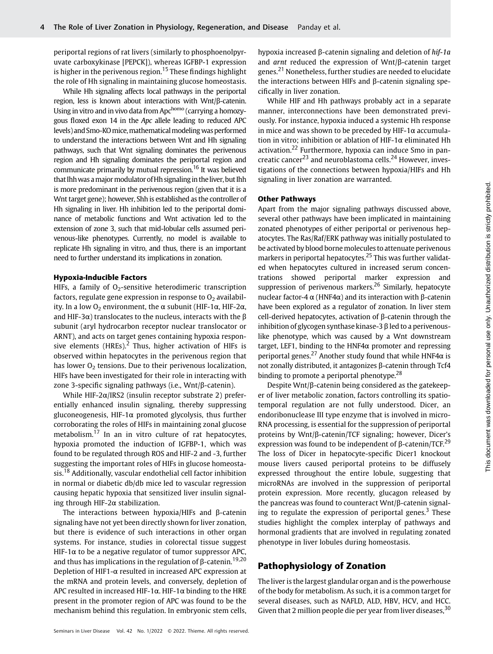periportal regions of rat livers (similarly to phosphoenolpyruvate carboxykinase [PEPCK]), whereas IGFBP-1 expression is higher in the perivenous region.<sup>15</sup> These findings highlight the role of Hh signaling in maintaining glucose homeostasis.

While Hh signaling affects local pathways in the periportal region, less is known about interactions with Wnt/β-catenin. Using in vitro and in vivo data from Apchomo (carrying a homozygous floxed exon 14 in the Apc allele leading to reduced APC levels) and Smo-KO mice, mathematical modeling was performed to understand the interactions between Wnt and Hh signaling pathways, such that Wnt signaling dominates the perivenous region and Hh signaling dominates the periportal region and communicate primarily by mutual repression.<sup>16</sup> It was believed that Ihh was a major modulator of Hh signaling in the liver, but Ihh is more predominant in the perivenous region (given that it is a Wnt target gene); however, Shh is established as the controller of Hh signaling in liver. Hh inhibition led to the periportal dominance of metabolic functions and Wnt activation led to the extension of zone 3, such that mid-lobular cells assumed perivenous-like phenotypes. Currently, no model is available to replicate Hh signaling in vitro, and thus, there is an important need to further understand its implications in zonation.

#### Hypoxia-Inducible Factors

HIFs, a family of  $O<sub>2</sub>$ -sensitive heterodimeric transcription factors, regulate gene expression in response to  $O<sub>2</sub>$  availability. In a low O<sub>2</sub> environment, the α subunit (HIF-1α, HIF-2α, and HIF-3 $\alpha$ ) translocates to the nucleus, interacts with the  $\beta$ subunit (aryl hydrocarbon receptor nuclear translocator or ARNT), and acts on target genes containing hypoxia responsive elements (HREs).<sup>2</sup> Thus, higher activation of HIFs is observed within hepatocytes in the perivenous region that has lower  $O<sub>2</sub>$  tensions. Due to their perivenous localization, HIFs have been investigated for their role in interacting with zone 3-specific signaling pathways (i.e., Wnt/β-catenin).

While HIF-2α/IRS2 (insulin receptor substrate 2) preferentially enhanced insulin signaling, thereby suppressing gluconeogenesis, HIF-1α promoted glycolysis, thus further corroborating the roles of HIFs in maintaining zonal glucose metabolism.<sup>17</sup> In an in vitro culture of rat hepatocytes, hypoxia promoted the induction of IGFBP-1, which was found to be regulated through ROS and HIF-2 and -3, further suggesting the important roles of HIFs in glucose homeostasis.<sup>18</sup> Additionally, vascular endothelial cell factor inhibition in normal or diabetic db/db mice led to vascular regression causing hepatic hypoxia that sensitized liver insulin signaling through HIF-2α stabilization.

The interactions between hypoxia/HIFs and β-catenin signaling have not yet been directly shown for liver zonation, but there is evidence of such interactions in other organ systems. For instance, studies in colorectal tissue suggest HIF-1 $\alpha$  to be a negative regulator of tumor suppressor APC, and thus has implications in the regulation of  $\beta$ -catenin.<sup>19,20</sup> Depletion of HIF1-α resulted in increased APC expression at the mRNA and protein levels, and conversely, depletion of APC resulted in increased HIF-1 $\alpha$ . HIF-1 $\alpha$  binding to the HRE present in the promoter region of APC was found to be the mechanism behind this regulation. In embryonic stem cells,

hypoxia increased β-catenin signaling and deletion of hif-1a and arnt reduced the expression of Wnt/β-catenin target genes.<sup>21</sup> Nonetheless, further studies are needed to elucidate the interactions between HIFs and β-catenin signaling specifically in liver zonation.

While HIF and Hh pathways probably act in a separate manner, interconnections have been demonstrated previously. For instance, hypoxia induced a systemic Hh response in mice and was shown to be preceded by HIF-1 $\alpha$  accumulation in vitro; inhibition or ablation of HIF-1α eliminated Hh activation.<sup>22</sup> Furthermore, hypoxia can induce Smo in pancreatic cancer<sup>23</sup> and neuroblastoma cells.<sup>24</sup> However, investigations of the connections between hypoxia/HIFs and Hh signaling in liver zonation are warranted.

#### Other Pathways

Apart from the major signaling pathways discussed above, several other pathways have been implicated in maintaining zonated phenotypes of either periportal or perivenous hepatocytes. The Ras/Raf/ERK pathway was initially postulated to be activated by blood borne molecules to attenuate perivenous markers in periportal hepatocytes.<sup>25</sup> This was further validated when hepatocytes cultured in increased serum concentrations showed periportal marker expression and suppression of perivenous markers.<sup>26</sup> Similarly, hepatocyte nuclear factor-4  $\alpha$  (HNF4 $\alpha$ ) and its interaction with β-catenin have been explored as a regulator of zonation. In liver stem cell-derived hepatocytes, activation of β-catenin through the inhibition of glycogen synthase kinase-3 β led to a perivenouslike phenotype, which was caused by a Wnt downstream target, LEF1, binding to the HNF4α promoter and repressing periportal genes.<sup>27</sup> Another study found that while HNF4 $\alpha$  is not zonally distributed, it antagonizes β-catenin through Tcf4 binding to promote a periportal phenotype.<sup>28</sup>

Despite Wnt/β-catenin being considered as the gatekeeper of liver metabolic zonation, factors controlling its spatiotemporal regulation are not fully understood. Dicer, an endoribonuclease III type enzyme that is involved in micro-RNA processing, is essential for the suppression of periportal proteins by Wnt/β-catenin/TCF signaling; however, Dicer's expression was found to be independent of β-catenin/TCF.<sup>29</sup> The loss of Dicer in hepatocyte-specific Dicer1 knockout mouse livers caused periportal proteins to be diffusely expressed throughout the entire lobule, suggesting that microRNAs are involved in the suppression of periportal protein expression. More recently, glucagon released by the pancreas was found to counteract Wnt/β-catenin signaling to regulate the expression of periportal genes.<sup>3</sup> These studies highlight the complex interplay of pathways and hormonal gradients that are involved in regulating zonated phenotype in liver lobules during homeostasis.

# Pathophysiology of Zonation

The liver is the largest glandular organ and is the powerhouse of the body for metabolism. As such, it is a common target for several diseases, such as NAFLD, ALD, HBV, HCV, and HCC. Given that 2 million people die per year from liver diseases,  $30$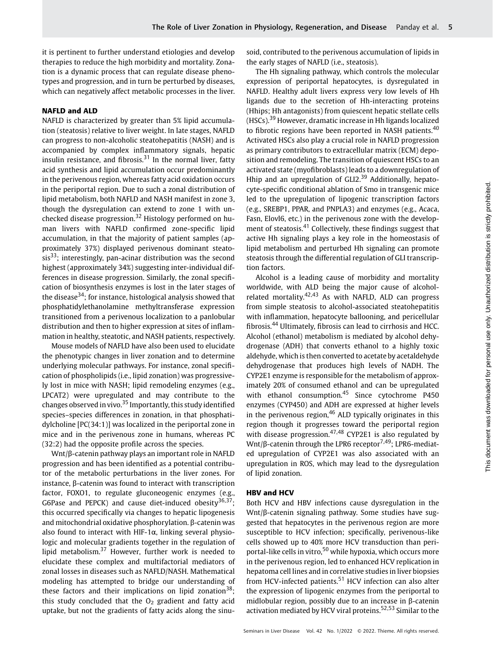it is pertinent to further understand etiologies and develop therapies to reduce the high morbidity and mortality. Zonation is a dynamic process that can regulate disease phenotypes and progression, and in turn be perturbed by diseases, which can negatively affect metabolic processes in the liver.

#### NAFLD and ALD

NAFLD is characterized by greater than 5% lipid accumulation (steatosis) relative to liver weight. In late stages, NAFLD can progress to non-alcoholic steatohepatitis (NASH) and is accompanied by complex inflammatory signals, hepatic insulin resistance, and fibrosis. $31$  In the normal liver, fatty acid synthesis and lipid accumulation occur predominantly in the perivenous region, whereas fatty acid oxidation occurs in the periportal region. Due to such a zonal distribution of lipid metabolism, both NAFLD and NASH manifest in zone 3, though the dysregulation can extend to zone 1 with unchecked disease progression.<sup>32</sup> Histology performed on human livers with NAFLD confirmed zone-specific lipid accumulation, in that the majority of patient samples (approximately 37%) displayed perivenous dominant steato $sis<sup>33</sup>$ ; interestingly, pan-acinar distribution was the second highest (approximately 34%) suggesting inter-individual differences in disease progression. Similarly, the zonal specification of biosynthesis enzymes is lost in the later stages of the disease $34$ ; for instance, histological analysis showed that phosphatidylethanolamine methyltransferase expression transitioned from a perivenous localization to a panlobular distribution and then to higher expression at sites of inflammation in healthy, steatotic, and NASH patients, respectively.

Mouse models of NAFLD have also been used to elucidate the phenotypic changes in liver zonation and to determine underlying molecular pathways. For instance, zonal specification of phospholipids (i.e., lipid zonation) was progressively lost in mice with NASH; lipid remodeling enzymes (e.g., LPCAT2) were upregulated and may contribute to the changes observed in vivo.<sup>35</sup> Importantly, this study identified species–species differences in zonation, in that phosphatidylcholine [PC(34:1)] was localized in the periportal zone in mice and in the perivenous zone in humans, whereas PC (32:2) had the opposite profile across the species.

Wnt/β-catenin pathway plays an important role in NAFLD progression and has been identified as a potential contributor of the metabolic perturbations in the liver zones. For instance, β-catenin was found to interact with transcription factor, FOXO1, to regulate gluconeogenic enzymes (e.g., G6Pase and PEPCK) and cause diet-induced obesity $36,37$ ; this occurred specifically via changes to hepatic lipogenesis and mitochondrial oxidative phosphorylation. β-catenin was also found to interact with HIF-1 $\alpha$ , linking several physiologic and molecular gradients together in the regulation of lipid metabolism. $37$  However, further work is needed to elucidate these complex and multifactorial mediators of zonal losses in diseases such as NAFLD/NASH. Mathematical modeling has attempted to bridge our understanding of these factors and their implications on lipid zonation<sup>38</sup>; this study concluded that the  $O<sub>2</sub>$  gradient and fatty acid uptake, but not the gradients of fatty acids along the sinusoid, contributed to the perivenous accumulation of lipids in the early stages of NAFLD (i.e., steatosis).

The Hh signaling pathway, which controls the molecular expression of periportal hepatocytes, is dysregulated in NAFLD. Healthy adult livers express very low levels of Hh ligands due to the secretion of Hh-interacting proteins (Hhips; Hh antagonists) from quiescent hepatic stellate cells (HSCs).<sup>39</sup> However, dramatic increase in Hh ligands localized to fibrotic regions have been reported in NASH patients.<sup>40</sup> Activated HSCs also play a crucial role in NAFLD progression as primary contributors to extracellular matrix (ECM) deposition and remodeling. The transition of quiescent HSCs to an activated state (myofibroblasts) leads to a downregulation of Hhip and an upregulation of GLI2.<sup>39</sup> Additionally, hepatocyte-specific conditional ablation of Smo in transgenic mice led to the upregulation of lipogenic transcription factors (e.g., SREBP1, PPAR, and PNPLA3) and enzymes (e.g., Acaca, Fasn, Elovl6, etc.) in the perivenous zone with the development of steatosis.<sup>41</sup> Collectively, these findings suggest that active Hh signaling plays a key role in the homeostasis of lipid metabolism and perturbed Hh signaling can promote steatosis through the differential regulation of GLI transcription factors.

Alcohol is a leading cause of morbidity and mortality worldwide, with ALD being the major cause of alcoholrelated mortality.<sup>42,43</sup> As with NAFLD, ALD can progress from simple steatosis to alcohol-associated steatohepatitis with inflammation, hepatocyte ballooning, and pericellular fibrosis.<sup>44</sup> Ultimately, fibrosis can lead to cirrhosis and HCC. Alcohol (ethanol) metabolism is mediated by alcohol dehydrogenase (ADH) that converts ethanol to a highly toxic aldehyde, which is then converted to acetate by acetaldehyde dehydrogenase that produces high levels of NADH. The CYP2E1 enzyme is responsible for the metabolism of approximately 20% of consumed ethanol and can be upregulated with ethanol consumption.<sup>45</sup> Since cytochrome P450 enzymes (CYP450) and ADH are expressed at higher levels in the perivenous region, $46$  ALD typically originates in this region though it progresses toward the periportal region with disease progression.<sup>47,48</sup> CYP2E1 is also regulated by Wnt/ $\beta$ -catenin through the LPR6 receptor<sup>7,49</sup>; LPR6-mediated upregulation of CYP2E1 was also associated with an upregulation in ROS, which may lead to the dysregulation of lipid zonation.

#### HBV and HCV

Both HCV and HBV infections cause dysregulation in the Wnt/β-catenin signaling pathway. Some studies have suggested that hepatocytes in the perivenous region are more susceptible to HCV infection; specifically, perivenous-like cells showed up to 40% more HCV transduction than periportal-like cells in vitro,<sup>50</sup> while hypoxia, which occurs more in the perivenous region, led to enhanced HCV replication in hepatoma cell lines and in correlative studies in liver biopsies from HCV-infected patients. $51$  HCV infection can also alter the expression of lipogenic enzymes from the periportal to midlobular region, possibly due to an increase in β-catenin activation mediated by HCV viral proteins.<sup>52,53</sup> Similar to the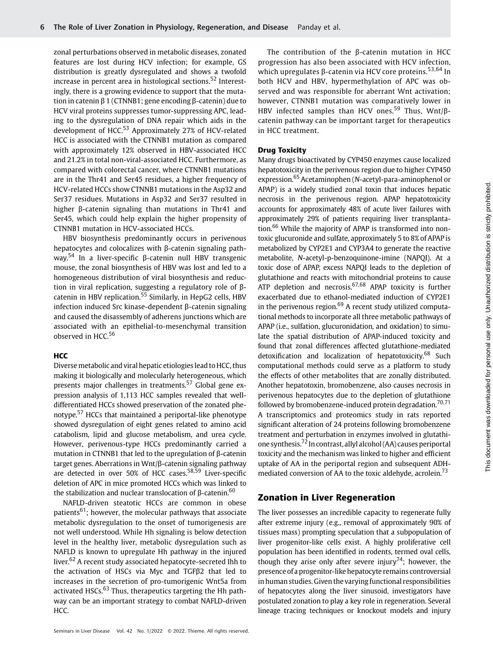zonal perturbations observed in metabolic diseases, zonated features are lost during HCV infection; for example, GS distribution is greatly dysregulated and shows a twofold increase in percent area in histological sections.<sup>52</sup> Interestingly, there is a growing evidence to support that the mutation in catenin β 1 (CTNNB1; gene encoding β-catenin) due to HCV viral proteins suppresses tumor-suppressing APC, leading to the dysregulation of DNA repair which aids in the development of HCC.<sup>53</sup> Approximately 27% of HCV-related HCC is associated with the CTNNB1 mutation as compared with approximately 12% observed in HBV-associated HCC and 21.2% in total non-viral-associated HCC. Furthermore, as compared with colorectal cancer, where CTNNB1 mutations are in the Thr41 and Ser45 residues, a higher frequency of HCV-related HCCs show CTNNB1 mutations in the Asp32 and Ser37 residues. Mutations in Asp32 and Ser37 resulted in higher β-catenin signaling than mutations in Thr41 and Ser45, which could help explain the higher propensity of CTNNB1 mutation in HCV-associated HCCs.

HBV biosynthesis predominantly occurs in perivenous hepatocytes and colocalizes with β-catenin signaling pathway.<sup>54</sup> In a liver-specific β-catenin null HBV transgenic mouse, the zonal biosynthesis of HBV was lost and led to a homogeneous distribution of viral biosynthesis and reduction in viral replication, suggesting a regulatory role of βcatenin in HBV replication.<sup>55</sup> Similarly, in HepG2 cells, HBV infection induced Src kinase-dependent β-catenin signaling and caused the disassembly of adherens junctions which are associated with an epithelial-to-mesenchymal transition observed in HCC.<sup>56</sup>

# **HCC**

Diverse metabolic and viral hepatic etiologies lead to HCC, thus making it biologically and molecularly heterogeneous, which presents major challenges in treatments.<sup>57</sup> Global gene expression analysis of 1,113 HCC samples revealed that welldifferentiated HCCs showed preservation of the zonated phenotype.<sup>57</sup> HCCs that maintained a periportal-like phenotype showed dysregulation of eight genes related to amino acid catabolism, lipid and glucose metabolism, and urea cycle. However, perivenous-type HCCs predominantly carried a mutation in CTNNB1 that led to the upregulation of β-catenin target genes. Aberrations in Wnt/β-catenin signaling pathway are detected in over 50% of HCC cases.<sup>58,59</sup> Liver-specific deletion of APC in mice promoted HCCs which was linked to the stabilization and nuclear translocation of β-catenin. $60$ 

NAFLD-driven steatotic HCCs are common in obese patients<sup>61</sup>; however, the molecular pathways that associate metabolic dysregulation to the onset of tumorigenesis are not well understood. While Hh signaling is below detection level in the healthy liver, metabolic dysregulation such as NAFLD is known to upregulate Hh pathway in the injured liver.<sup>62</sup> A recent study associated hepatocyte-secreted Ihh to the activation of HSCs via Myc and TGFβ2 that led to increases in the secretion of pro-tumorigenic Wnt5a from activated HSCs.<sup>63</sup> Thus, therapeutics targeting the Hh pathway can be an important strategy to combat NAFLD-driven HCC.

The contribution of the β-catenin mutation in HCC progression has also been associated with HCV infection, which upregulates β-catenin via HCV core proteins.<sup>53,64</sup> In both HCV and HBV, hypermethylation of APC was observed and was responsible for aberrant Wnt activation; however, CTNNB1 mutation was comparatively lower in HBV infected samples than HCV ones.<sup>59</sup> Thus, Wnt/ $\beta$ catenin pathway can be important target for therapeutics in HCC treatment.

#### Drug Toxicity

Many drugs bioactivated by CYP450 enzymes cause localized hepatotoxicity in the perivenous region due to higher CYP450 expression.<sup>65</sup> Acetaminophen (N-acetyl-para-aminophenol or APAP) is a widely studied zonal toxin that induces hepatic necrosis in the perivenous region. APAP hepatotoxicity accounts for approximately 48% of acute liver failures with approximately 29% of patients requiring liver transplantation.<sup>66</sup> While the majority of APAP is transformed into nontoxic glucuronide and sulfate, approximately 5 to 8% of APAP is metabolized by CYP2E1 and CYP3A4 to generate the reactive metabolite, N-acetyl-p-benzoquinone-imine (NAPQI). At a toxic dose of APAP, excess NAPQI leads to the depletion of glutathione and reacts with mitochondrial proteins to cause ATP depletion and necrosis.<sup>67,68</sup> APAP toxicity is further exacerbated due to ethanol-mediated induction of CYP2E1 in the perivenous region. $69$  A recent study utilized computational methods to incorporate all three metabolic pathways of APAP (i.e., sulfation, glucuronidation, and oxidation) to simulate the spatial distribution of APAP-induced toxicity and found that zonal differences affected glutathione-mediated detoxification and localization of hepatotoxicity.<sup>68</sup> Such computational methods could serve as a platform to study the effects of other metabolites that are zonally distributed. Another hepatotoxin, bromobenzene, also causes necrosis in perivenous hepatocytes due to the depletion of glutathione followed by bromobenzene-induced protein degradation.<sup>70,71</sup> A transcriptomics and proteomics study in rats reported significant alteration of 24 proteins following bromobenzene treatment and perturbation in enzymes involved in glutathione synthesis.<sup>72</sup> In contrast, allyl alcohol (AA) causes periportal toxicity and the mechanism was linked to higher and efficient uptake of AA in the periportal region and subsequent ADHmediated conversion of AA to the toxic aldehyde, acrolein.<sup>73</sup>

# Zonation in Liver Regeneration

The liver possesses an incredible capacity to regenerate fully after extreme injury (e.g., removal of approximately 90% of tissues mass) prompting speculation that a subpopulation of liver progenitor-like cells exist. A highly proliferative cell population has been identified in rodents, termed oval cells, though they arise only after severe injury<sup>74</sup>; however, the presence of a progenitor-like hepatocyte remains controversial in human studies. Given the varying functional responsibilities of hepatocytes along the liver sinusoid, investigators have postulated zonation to play a key role in regeneration. Several lineage tracing techniques or knockout models and injury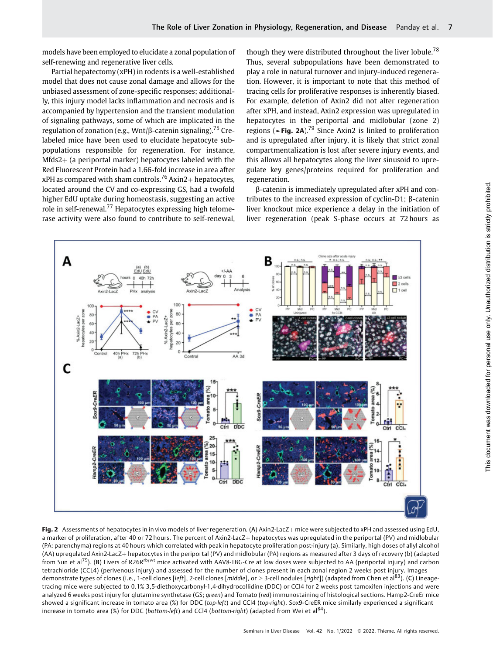models have been employed to elucidate a zonal population of self-renewing and regenerative liver cells.

Partial hepatectomy (xPH) in rodents is a well-established model that does not cause zonal damage and allows for the unbiased assessment of zone-specific responses; additionally, this injury model lacks inflammation and necrosis and is accompanied by hypertension and the transient modulation of signaling pathways, some of which are implicated in the regulation of zonation (e.g., Wnt/ $\beta$ -catenin signaling).<sup>75</sup> Crelabeled mice have been used to elucidate hepatocyte subpopulations responsible for regeneration. For instance,  $Mfds2+$  (a periportal marker) hepatocytes labeled with the Red Fluorescent Protein had a 1.66-fold increase in area after xPH as compared with sham controls.<sup>76</sup> Axin2+ hepatocytes, located around the CV and co-expressing GS, had a twofold higher EdU uptake during homeostasis, suggesting an active role in self-renewal.<sup>77</sup> Hepatocytes expressing high telomerase activity were also found to contribute to self-renewal, though they were distributed throughout the liver lobule.<sup>78</sup> Thus, several subpopulations have been demonstrated to play a role in natural turnover and injury-induced regeneration. However, it is important to note that this method of tracing cells for proliferative responses is inherently biased. For example, deletion of Axin2 did not alter regeneration after xPH, and instead, Axin2 expression was upregulated in hepatocytes in the periportal and midlobular (zone 2) regions (►Fig. 2A).<sup>79</sup> Since Axin2 is linked to proliferation and is upregulated after injury, it is likely that strict zonal compartmentalization is lost after severe injury events, and this allows all hepatocytes along the liver sinusoid to upregulate key genes/proteins required for proliferation and regeneration.

β-catenin is immediately upregulated after xPH and contributes to the increased expression of cyclin-D1; β-catenin liver knockout mice experience a delay in the initiation of liver regeneration (peak S-phase occurs at 72 hours as



Fig. 2 Assessments of hepatocytes in in vivo models of liver regeneration. (A) Axin2-LacZ+ mice were subjected to xPH and assessed using EdU, a marker of proliferation, after 40 or 72 hours. The percent of Axin2-LacZ+ hepatocytes was upregulated in the periportal (PV) and midlobular (PA: parenchyma) regions at 40 hours which correlated with peak in hepatocyte proliferation post-injury (a). Similarly, high doses of allyl alcohol (AA) uprequlated Axin2-LacZ+ hepatocytes in the periportal (PV) and midlobular (PA) regions as measured after 3 days of recovery (b) (adapted from Sun et al<sup>79</sup>). (B) Livers of R26R<sup>rb/wt</sup> mice activated with AAV8-TBG-Cre at low doses were subjected to AA (periportal injury) and carbon tetrachloride (CCL4) (perivenous injury) and assessed for the number of clones present in each zonal region 2 weeks post injury. Images demonstrate types of clones (i.e., 1-cell clones [*left*], 2-cell clones [*middle*], or  $\geq$  3-cell nodules [*right*]) (adapted from Chen et al<sup>83</sup>). (C) Lineage<sup>.</sup> tracing mice were subjected to 0.1% 3,5-diethoxycarbonyl-1,4-dihydrocollidine (DDC) or CCl4 for 2 weeks post tamoxifen injections and were analyzed 6 weeks post injury for glutamine synthetase (GS; green) and Tomato (red) immunostaining of histological sections. Hamp2-CreEr mice showed a significant increase in tomato area (%) for DDC (top-left) and CCl4 (top-right). Sox9-CreER mice similarly experienced a significant increase in tomato area (%) for DDC (bottom-left) and CCl4 (bottom-right) (adapted from Wei et al<sup>84</sup>).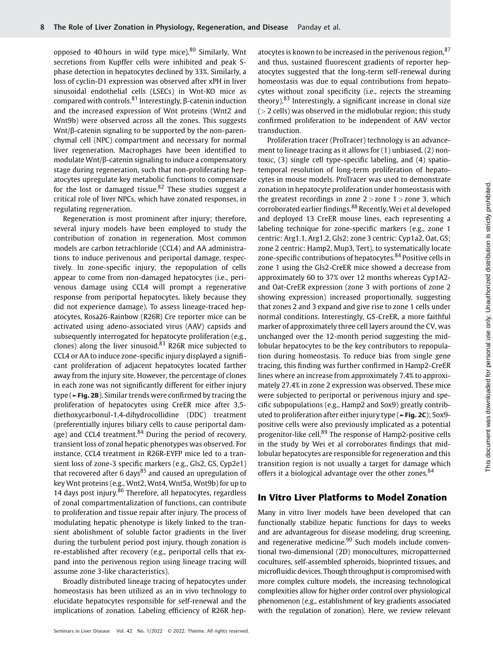opposed to 40 hours in wild type mice). $80$  Similarly, Wnt secretions from Kupffer cells were inhibited and peak Sphase detection in hepatocytes declined by 33%. Similarly, a loss of cyclin-D1 expression was observed after xPH in liver sinusoidal endothelial cells (LSECs) in Wnt-KO mice as compared with controls.<sup>81</sup> Interestingly, β-catenin induction and the increased expression of Wnt proteins (Wnt2 and Wnt9b) were observed across all the zones. This suggests Wnt/β-catenin signaling to be supported by the non-parenchymal cell (NPC) compartment and necessary for normal liver regeneration. Macrophages have been identified to modulate Wnt/β-catenin signaling to induce a compensatory stage during regeneration, such that non-proliferating hepatocytes upregulate key metabolic functions to compensate for the lost or damaged tissue. $82$  These studies suggest a critical role of liver NPCs, which have zonated responses, in regulating regeneration.

Regeneration is most prominent after injury; therefore, several injury models have been employed to study the contribution of zonation in regeneration. Most common models are carbon tetrachloride (CCL4) and AA administrations to induce perivenous and periportal damage, respectively. In zone-specific injury, the repopulation of cells appear to come from non-damaged hepatocytes (i.e., perivenous damage using CCL4 will prompt a regenerative response from periportal hepatocytes, likely because they did not experience damage). To assess lineage-traced hepatocytes, Rosa26-Rainbow (R26R) Cre reporter mice can be activated using adeno-associated virus (AAV) capsids and subsequently interrogated for hepatocyte proliferation (e.g., clones) along the liver sinusoid. $83$  R26R mice subjected to CCL4 or AA to induce zone-specific injury displayed a significant proliferation of adjacent hepatocytes located farther away from the injury site. However, the percentage of clones in each zone was not significantly different for either injury type (►Fig. 2B). Similar trends were confirmed by tracing the proliferation of hepatocytes using CreER mice after 3,5 diethoxycarbonul-1,4-dihydrocollidine (DDC) treatment (preferentially injures biliary cells to cause periportal damage) and CCL4 treatment.  $84$  During the period of recovery, transient loss of zonal hepatic phenotypes was observed. For instance, CCL4 treatment in R26R-EYFP mice led to a transient loss of zone-3 specific markers (e.g., Gls2, GS, Cyp2e1) that recovered after 6 days $85$  and caused an upregulation of key Wnt proteins (e.g., Wnt2, Wnt4, Wnt5a, Wnt9b) for up to 14 days post injury.<sup>86</sup> Therefore, all hepatocytes, regardless of zonal compartmentalization of functions, can contribute to proliferation and tissue repair after injury. The process of modulating hepatic phenotype is likely linked to the transient abolishment of soluble factor gradients in the liver during the turbulent period post injury, though zonation is re-established after recovery (e.g., periportal cells that expand into the perivenous region using lineage tracing will assume zone 3-like characteristics).

Broadly distributed lineage tracing of hepatocytes under homeostasis has been utilized as an in vivo technology to elucidate hepatocytes responsible for self-renewal and the implications of zonation. Labeling efficiency of R26R hepatocytes is known to be increased in the perivenous region, 87 and thus, sustained fluorescent gradients of reporter hepatocytes suggested that the long-term self-renewal during homeostasis was due to equal contributions from hepatocytes without zonal specificity (i.e., rejects the streaming theory).<sup>83</sup> Interestingly, a significant increase in clonal size  $(> 2$  cells) was observed in the midlobular region; this study confirmed proliferation to be independent of AAV vector transduction.

Proliferation tracer (ProTracer) technology is an advancement to lineage tracing as it allows for (1) unbiased, (2) nontoxic, (3) single cell type-specific labeling, and (4) spatiotemporal resolution of long-term proliferation of hepatocytes in mouse models. ProTracer was used to demonstrate zonation in hepatocyte proliferation under homeostasis with the greatest recordings in zone  $2 >$ zone  $1 >$ zone 3, which corroborated earlier findings.<sup>88</sup> Recently, Wei et al developed and deployed 13 CreER mouse lines, each representing a labeling technique for zone-specific markers (e.g., zone 1 centric: Arg1.1, Arg1.2, Gls2; zone 3 centric: Cyp1a2, Oat, GS; zone 2 centric: Hamp2, Mup3, Tert), to systematically locate zone-specific contributions of hepatocytes.<sup>84</sup> Positive cells in zone 1 using the Gls2-CreER mice showed a decrease from approximately 60 to 37% over 12 months whereas Cyp1A2 and Oat-CreER expression (zone 3 with portions of zone 2 showing expression) increased proportionally, suggesting that zones 2 and 3 expand and give rise to zone 1 cells under normal conditions. Interestingly, GS-CreER, a more faithful marker of approximately three cell layers around the CV, was unchanged over the 12-month period suggesting the midlobular hepatocytes to be the key contributors to repopulation during homeostasis. To reduce bias from single gene tracing, this finding was further confirmed in Hamp2-CreER lines where an increase from approximately 7.4% to approximately 27.4% in zone 2 expression was observed. These mice were subjected to periportal or perivenous injury and specific subpopulations (e.g., Hamp2 and Sox9) greatly contributed to proliferation after either injury type (►Fig. 2C); Sox9 positive cells were also previously implicated as a potential progenitor-like cell.<sup>89</sup> The response of Hamp2-positive cells in the study by Wei et al corroborates findings that midlobular hepatocytes are responsible for regeneration and this transition region is not usually a target for damage which offers it a biological advantage over the other zones.<sup>84</sup>

## In Vitro Liver Platforms to Model Zonation

Many in vitro liver models have been developed that can functionally stabilize hepatic functions for days to weeks and are advantageous for disease modeling, drug screening, and regenerative medicine. $90$  Such models include conventional two-dimensional (2D) monocultures, micropatterned cocultures, self-assembled spheroids, bioprinted tissues, and microfluidic devices. Though throughput is compromisedwith more complex culture models, the increasing technological complexities allow for higher order control over physiological phenomenon (e.g., establishment of key gradients associated with the regulation of zonation). Here, we review relevant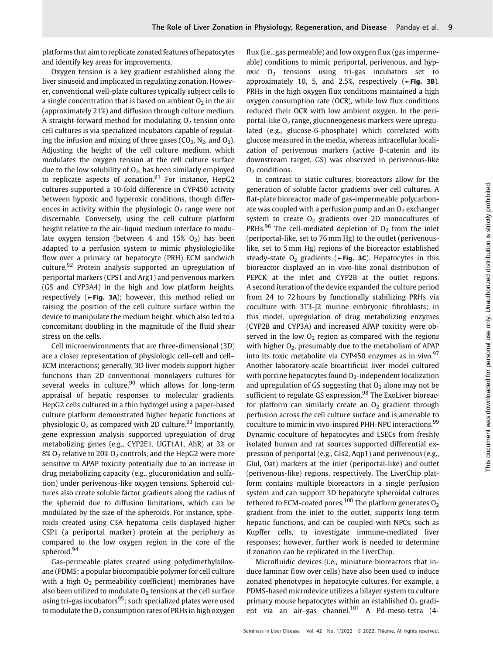platforms that aim to replicate zonated features of hepatocytes and identify key areas for improvements.

Oxygen tension is a key gradient established along the liver sinusoid and implicated in regulating zonation. However, conventional well-plate cultures typically subject cells to a single concentration that is based on ambient  $O<sub>2</sub>$  in the air (approximately 21%) and diffusion through culture medium. A straight-forward method for modulating  $O<sub>2</sub>$  tension onto cell cultures is via specialized incubators capable of regulating the infusion and mixing of three gases ( $CO<sub>2</sub>$ ,  $N<sub>2</sub>$ , and  $O<sub>2</sub>$ ). Adjusting the height of the cell culture medium, which modulates the oxygen tension at the cell culture surface due to the low solubility of  $O<sub>2</sub>$ , has been similarly employed to replicate aspects of zonation. $91$  For instance, HepG2 cultures supported a 10-fold difference in CYP450 activity between hypoxic and hyperoxic conditions, though differences in activity within the physiologic  $O<sub>2</sub>$  range were not discernable. Conversely, using the cell culture platform height relative to the air–liquid medium interface to modulate oxygen tension (between 4 and  $15\%$  O<sub>2</sub>) has been adapted to a perfusion system to mimic physiologic-like flow over a primary rat hepatocyte (PRH) ECM sandwich culture.<sup>92</sup> Protein analysis supported an upregulation of periportal markers (CPS1 and Arg1) and perivenous markers (GS and CYP3A4) in the high and low platform heights, respectively (►Fig. 3A); however, this method relied on raising the position of the cell culture surface within the device to manipulate the medium height, which also led to a concomitant doubling in the magnitude of the fluid shear stress on the cells.

Cell microenvironments that are three-dimensional (3D) are a closer representation of physiologic cell–cell and cell– ECM interactions; generally, 3D liver models support higher functions than 2D conventional monolayers cultures for several weeks in culture,  $90$  which allows for long-term appraisal of hepatic responses to molecular gradients. HepG2 cells cultured in a thin hydrogel using a paper-based culture platform demonstrated higher hepatic functions at physiologic  $O_2$  as compared with 2D culture.<sup>93</sup> Importantly, gene expression analysis supported upregulation of drug metabolizing genes (e.g., CYP2E1, UGT1A1, AhR) at 3% or  $8\%$  O<sub>2</sub> relative to 20% O<sub>2</sub> controls, and the HepG2 were more sensitive to APAP toxicity potentially due to an increase in drug metabolizing capacity (e.g., glucuronidation and sulfation) under perivenous-like oxygen tensions. Spheroid cultures also create soluble factor gradients along the radius of the spheroid due to diffusion limitations, which can be modulated by the size of the spheroids. For instance, spheroids created using C3A hepatoma cells displayed higher CSP1 (a periportal marker) protein at the periphery as compared to the low oxygen region in the core of the spheroid.<sup>94</sup>

Gas-permeable plates created using polydimethylsiloxane (PDMS; a popular biocompatible polymer for cell culture with a high  $O<sub>2</sub>$  permeability coefficient) membranes have also been utilized to modulate  $O<sub>2</sub>$  tensions at the cell surface using tri-gas incubators<sup>95</sup>; such specialized plates were used to modulate the  $O_2$  consumption rates of PRHs in high oxygen flux (i.e., gas permeable) and low oxygen flux (gas impermeable) conditions to mimic periportal, perivenous, and hypoxic  $O<sub>2</sub>$  tensions using tri-gas incubators set to approximately 10, 5, and 2.5%, respectively (►Fig. 3B). PRHs in the high oxygen flux conditions maintained a high oxygen consumption rate (OCR), while low flux conditions reduced their OCR with low ambient oxygen. In the periportal-like  $O<sub>2</sub>$  range, gluconeogenesis markers were upregulated (e.g., glucose-6-phosphate) which correlated with glucose measured in the media, whereas intracellular localization of perivenous markers (active β-catenin and its downstream target, GS) was observed in perivenous-like  $O<sub>2</sub>$  conditions.

In contrast to static cultures, bioreactors allow for the generation of soluble factor gradients over cell cultures. A flat-plate bioreactor made of gas-impermeable polycarbonate was coupled with a perfusion pump and an  $O<sub>2</sub>$  exchanger system to create  $O<sub>2</sub>$  gradients over 2D monocultures of PRHs.<sup>96</sup> The cell-mediated depletion of  $O<sub>2</sub>$  from the inlet (periportal-like, set to 76 mm Hg) to the outlet (perivenouslike, set to 5 mm Hg) regions of the bioreactor established steady-state  $O_2$  gradients ( $\blacktriangleright$ Fig. 3C). Hepatocytes in this bioreactor displayed an in vivo-like zonal distribution of PEPCK at the inlet and CYP2B at the outlet regions. A second iteration of the device expanded the culture period from 24 to 72 hours by functionally stabilizing PRHs via coculture with 3T3-J2 murine embryonic fibroblasts; in this model, upregulation of drug metabolizing enzymes (CYP2B and CYP3A) and increased APAP toxicity were observed in the low  $O_2$  region as compared with the regions with higher  $O_2$ , presumably due to the metabolism of APAP into its toxic metabolite via CYP450 enzymes as in vivo.<sup>97</sup> Another laboratory-scale bioartificial liver model cultured with porcine hepatocytes found  $O<sub>2</sub>$ -independent localization and upregulation of GS suggesting that  $O<sub>2</sub>$  alone may not be sufficient to regulate GS expression.<sup>98</sup> The ExoLiver bioreactor platform can similarly create an  $O<sub>2</sub>$  gradient through perfusion across the cell culture surface and is amenable to coculture to mimic in vivo-inspired PHH-NPC interactions.<sup>99</sup> Dynamic coculture of hepatocytes and LSECs from freshly isolated human and rat sources supported differential expression of periportal (e.g., Gls2, Aqp1) and perivenous (e.g., Glul, Oat) markers at the inlet (periportal-like) and outlet (perivenous-like) regions, respectively. The LiverChip platform contains multiple bioreactors in a single perfusion system and can support 3D hepatocyte spheroidal cultures tethered to ECM-coated pores.<sup>100</sup> The platform generates  $O<sub>2</sub>$ gradient from the inlet to the outlet, supports long-term hepatic functions, and can be coupled with NPCs, such as Kupffer cells, to investigate immune-mediated liver responses; however, further work is needed to determine if zonation can be replicated in the LiverChip.

Microfluidic devices (i.e., miniature bioreactors that induce laminar flow over cells) have also been used to induce zonated phenotypes in hepatocyte cultures. For example, a PDMS-based microdevice utilizes a bilayer system to culture primary mouse hepatocytes within an established  $O<sub>2</sub>$  gradient via an air–gas channel.<sup>101</sup> A Pd-meso-tetra (4-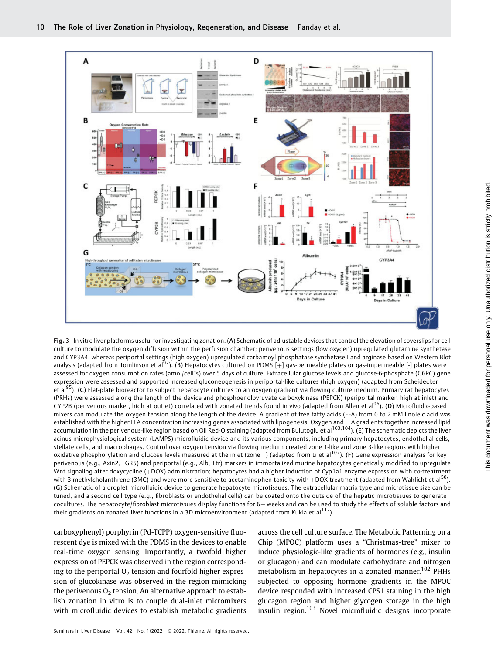

Fig. 3 In vitro liver platforms useful for investigating zonation. (A) Schematic of adjustable devices that control the elevation of coverslips for cell culture to modulate the oxygen diffusion within the perfusion chamber; perivenous settings (low oxygen) upregulated glutamine synthetase and CYP3A4, whereas periportal settings (high oxygen) upregulated carbamoyl phosphatase synthetase I and arginase based on Western Blot analysis (adapted from Tomlinson et al<sup>92</sup>). (B) Hepatocytes cultured on PDMS  $[+]$  gas-permeable plates or gas-impermeable [-] plates were assessed for oxygen consumption rates (amol/cell\*s) over 5 days of culture. Extracellular glucose levels and glucose-6-phosphate (G6PC) gene expression were assessed and supported increased gluconeogenesis in periportal-like cultures (high oxygen) (adapted from Scheidecker et al<sup>95</sup>). (C) Flat-plate bioreactor to subject hepatocyte cultures to an oxygen gradient via flowing culture medium. Primary rat hepatocytes (PRHs) were assessed along the length of the device and phosphoenolpyruvate carboxykinase (PEPCK) (periportal marker, high at inlet) and CYP2B (perivenous marker, high at outlet) correlated with zonated trends found in vivo (adapted from Allen et al<sup>96</sup>). (D) Microfluidic-based mixers can modulate the oxygen tension along the length of the device. A gradient of free fatty acids (FFA) from 0 to 2 mM linoleic acid was established with the higher FFA concentration increasing genes associated with lipogenesis. Oxygen and FFA gradients together increased lipid accumulation in the perivenous-like region based on Oil Red-O staining (adapted from Bulutoglu et al<sup>103,104</sup>). (E) The schematic depicts the liver acinus microphysiological system (LAMPS) microfluidic device and its various components, including primary hepatocytes, endothelial cells, stellate cells, and macrophages. Control over oxygen tension via flowing medium created zone 1-like and zone 3-like regions with higher oxidative phosphorylation and glucose levels measured at the inlet (zone 1) (adapted from Li et al<sup>107</sup>). (F) Gene expression analysis for key perivenous (e.g., Axin2, LGR5) and periportal (e.g., Alb, Ttr) markers in immortalized murine hepatocytes genetically modified to upregulate Wnt signaling after doxycycline (+DOX) administration; hepatocytes had a higher induction of Cyp1a1 enzyme expression with co-treatment with  $\epsilon$ -treatment with  $\epsilon$ -treatment (adapted from Wahlicht et al<sup>50</sup>). with 3-methylcholanthrene (3MC) and were more sensitive to acetaminophen toxicity with +DOX treatment (adapted from Wahlicht et al<sup>5</sup> (G) Schematic of a droplet microfluidic device to generate hepatocyte microtissues. The extracellular matrix type and microtissue size can be tuned, and a second cell type (e.g., fibroblasts or endothelial cells) can be coated onto the outside of the hepatic microtissues to generate cocultures. The hepatocyte/fibroblast microtissues display functions for 6+ weeks and can be used to study the effects of soluble factors and their gradients on zonated liver functions in a 3D microenvironment (adapted from Kukla et al<sup>112</sup>).

carboxyphenyl) porphyrin (Pd-TCPP) oxygen-sensitive fluorescent dye is mixed with the PDMS in the devices to enable real-time oxygen sensing. Importantly, a twofold higher expression of PEPCK was observed in the region corresponding to the periportal  $O<sub>2</sub>$  tension and fourfold higher expression of glucokinase was observed in the region mimicking the perivenous  $O<sub>2</sub>$  tension. An alternative approach to establish zonation in vitro is to couple dual-inlet micromixers with microfluidic devices to establish metabolic gradients

across the cell culture surface. The Metabolic Patterning on a Chip (MPOC) platform uses a "Christmas-tree" mixer to induce physiologic-like gradients of hormones (e.g., insulin or glucagon) and can modulate carbohydrate and nitrogen metabolism in hepatocytes in a zonated manner.<sup>102</sup> PHHs subjected to opposing hormone gradients in the MPOC device responded with increased CPS1 staining in the high glucagon region and higher glycogen storage in the high insulin region.<sup>103</sup> Novel microfluidic designs incorporate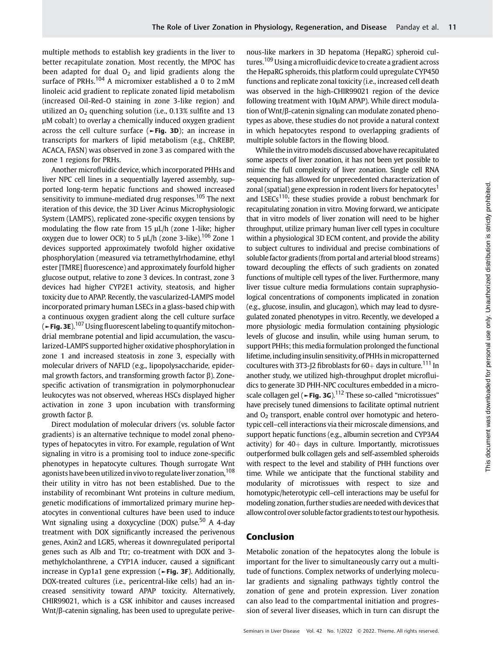multiple methods to establish key gradients in the liver to better recapitulate zonation. Most recently, the MPOC has been adapted for dual  $O<sub>2</sub>$  and lipid gradients along the surface of PRHs.<sup>104</sup> A micromixer established a 0 to 2 mM linoleic acid gradient to replicate zonated lipid metabolism (increased Oil-Red-O staining in zone 3-like region) and utilized an  $O<sub>2</sub>$  quenching solution (i.e., 0.13% sulfite and 13 μM cobalt) to overlay a chemically induced oxygen gradient across the cell culture surface (►Fig. 3D); an increase in transcripts for markers of lipid metabolism (e.g., ChREBP, ACACA, FASN) was observed in zone 3 as compared with the zone 1 regions for PRHs.

Another microfluidic device, which incorporated PHHs and liver NPC cell lines in a sequentially layered assembly, supported long-term hepatic functions and showed increased sensitivity to immune-mediated drug responses.<sup>105</sup> The next iteration of this device, the 3D Liver Acinus Microphysiologic System (LAMPS), replicated zone-specific oxygen tensions by modulating the flow rate from 15 μL/h (zone 1-like; higher oxygen due to lower OCR) to 5  $\mu$ L/h (zone 3-like).<sup>106</sup> Zone 1 devices supported approximately twofold higher oxidative phosphorylation (measured via tetramethylrhodamine, ethyl ester [TMRE] fluorescence) and approximately fourfold higher glucose output, relative to zone 3 devices. In contrast, zone 3 devices had higher CYP2E1 activity, steatosis, and higher toxicity due to APAP. Recently, the vascularized-LAMPS model incorporated primary human LSECs in a glass-based chip with a continuous oxygen gradient along the cell culture surface (►Fig. 3E).<sup>107</sup> Using fluorescent labeling to quantify mitochondrial membrane potential and lipid accumulation, the vascularized-LAMPS supported higher oxidative phosphorylation in zone 1 and increased steatosis in zone 3, especially with molecular drivers of NAFLD (e.g., lipopolysaccharide, epidermal growth factors, and transforming growth factor β). Zonespecific activation of transmigration in polymorphonuclear leukocytes was not observed, whereas HSCs displayed higher activation in zone 3 upon incubation with transforming growth factor β.

Direct modulation of molecular drivers (vs. soluble factor gradients) is an alternative technique to model zonal phenotypes of hepatocytes in vitro. For example, regulation of Wnt signaling in vitro is a promising tool to induce zone-specific phenotypes in hepatocyte cultures. Though surrogate Wnt agonists have been utilized in vivo to regulate liver zonation, <sup>108</sup> their utility in vitro has not been established. Due to the instability of recombinant Wnt proteins in culture medium, genetic modifications of immortalized primary murine hepatocytes in conventional cultures have been used to induce Wnt signaling using a doxycycline (DOX) pulse.<sup>50</sup> A 4-day treatment with DOX significantly increased the perivenous genes, Axin2 and LGR5, whereas it downregulated periportal genes such as Alb and Ttr; co-treatment with DOX and 3 methylcholanthrene, a CYP1A inducer, caused a significant increase in Cyp1a1 gene expression (►Fig. 3F). Additionally, DOX-treated cultures (i.e., pericentral-like cells) had an increased sensitivity toward APAP toxicity. Alternatively, CHIR99021, which is a GSK inhibitor and causes increased Wnt/β-catenin signaling, has been used to upregulate perivenous-like markers in 3D hepatoma (HepaRG) spheroid cultures.<sup>109</sup> Using a microfluidic device to create a gradient across the HepaRG spheroids, this platform could upregulate CYP450 functions and replicate zonal toxicity (i.e., increased cell death was observed in the high-CHIR99021 region of the device following treatment with 10μM APAP). While direct modulation of Wnt/β-catenin signaling can modulate zonated phenotypes as above, these studies do not provide a natural context in which hepatocytes respond to overlapping gradients of multiple soluble factors in the flowing blood.

While the in vitro models discussed above have recapitulated some aspects of liver zonation, it has not been yet possible to mimic the full complexity of liver zonation. Single cell RNA sequencing has allowed for unprecedented characterization of zonal (spatial) gene expression in rodent livers for hepatocytes<sup>1</sup> and LSECs<sup>110</sup>; these studies provide a robust benchmark for recapitulating zonation in vitro. Moving forward, we anticipate that in vitro models of liver zonation will need to be higher throughput, utilize primary human liver cell types in coculture within a physiological 3D ECM content, and provide the ability to subject cultures to individual and precise combinations of soluble factor gradients (from portal and arterial blood streams) toward decoupling the effects of such gradients on zonated functions of multiple cell types of the liver. Furthermore, many liver tissue culture media formulations contain supraphysiological concentrations of components implicated in zonation (e.g., glucose, insulin, and glucagon), which may lead to dysregulated zonated phenotypes in vitro. Recently, we developed a more physiologic media formulation containing physiologic levels of glucose and insulin, while using human serum, to support PHHs; this media formulation prolonged the functional lifetime, including insulin sensitivity, of PHHs in micropatterned cocultures with 3T3-J2 fibroblasts for  $60+$  days in culture.<sup>111</sup> In another study, we utilized high-throughput droplet microfluidics to generate 3D PHH-NPC cocultures embedded in a microscale collagen gel ( $\blacktriangleright$ Fig. 3G).<sup>112</sup> These so-called "microtissues" have precisely tuned dimensions to facilitate optimal nutrient and  $O<sub>2</sub>$  transport, enable control over homotypic and heterotypic cell–cell interactions via their microscale dimensions, and support hepatic functions (e.g., albumin secretion and CYP3A4 activity) for  $40<sub>+</sub>$  days in culture. Importantly, microtissues outperformed bulk collagen gels and self-assembled spheroids with respect to the level and stability of PHH functions over time. While we anticipate that the functional stability and modularity of microtissues with respect to size and homotypic/heterotypic cell–cell interactions may be useful for modeling zonation, further studies are needed with devices that allowcontrol over soluble factor gradients to test our hypothesis.

## Conclusion

Metabolic zonation of the hepatocytes along the lobule is important for the liver to simultaneously carry out a multitude of functions. Complex networks of underlying molecular gradients and signaling pathways tightly control the zonation of gene and protein expression. Liver zonation can also lead to the compartmental initiation and progression of several liver diseases, which in turn can disrupt the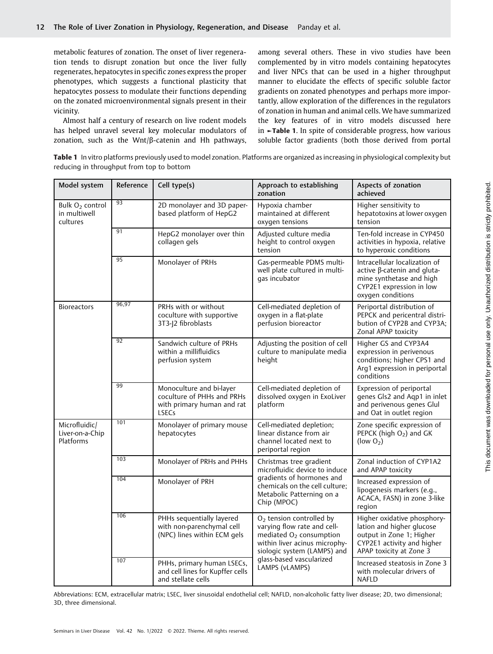metabolic features of zonation. The onset of liver regeneration tends to disrupt zonation but once the liver fully regenerates, hepatocytes in specific zones express the proper phenotypes, which suggests a functional plasticity that hepatocytes possess to modulate their functions depending on the zonated microenvironmental signals present in their vicinity.

Almost half a century of research on live rodent models has helped unravel several key molecular modulators of zonation, such as the Wnt/β-catenin and Hh pathways,

among several others. These in vivo studies have been complemented by in vitro models containing hepatocytes and liver NPCs that can be used in a higher throughput manner to elucidate the effects of specific soluble factor gradients on zonated phenotypes and perhaps more importantly, allow exploration of the differences in the regulators of zonation in human and animal cells. We have summarized the key features of in vitro models discussed here in ►Table 1. In spite of considerable progress, how various soluble factor gradients (both those derived from portal

Table 1 In vitro platforms previously used to model zonation. Platforms are organized as increasing in physiological complexity but reducing in throughput from top to bottom

| Model system                                            | Reference | Cell type(s)                                                                                         | Approach to establishing<br>zonation                                                                                                                                                                                     | Aspects of zonation<br>achieved                                                                                                               |
|---------------------------------------------------------|-----------|------------------------------------------------------------------------------------------------------|--------------------------------------------------------------------------------------------------------------------------------------------------------------------------------------------------------------------------|-----------------------------------------------------------------------------------------------------------------------------------------------|
| Bulk O <sub>2</sub> control<br>in multiwell<br>cultures | 93        | 2D monolayer and 3D paper-<br>based platform of HepG2                                                | Hypoxia chamber<br>maintained at different<br>oxygen tensions                                                                                                                                                            | Higher sensitivity to<br>hepatotoxins at lower oxygen<br>tension                                                                              |
|                                                         | 91        | HepG2 monolayer over thin<br>collagen gels                                                           | Adjusted culture media<br>height to control oxygen<br>tension                                                                                                                                                            | Ten-fold increase in CYP450<br>activities in hypoxia, relative<br>to hyperoxic conditions                                                     |
|                                                         | 95        | Monolayer of PRHs                                                                                    | Gas-permeable PDMS multi-<br>well plate cultured in multi-<br>qas incubator                                                                                                                                              | Intracellular localization of<br>active β-catenin and gluta-<br>mine synthetase and high<br>CYP2E1 expression in low<br>oxygen conditions     |
| <b>Bioreactors</b>                                      | 96,97     | PRHs with or without<br>coculture with supportive<br>3T3-J2 fibroblasts                              | Cell-mediated depletion of<br>oxygen in a flat-plate<br>perfusion bioreactor                                                                                                                                             | Periportal distribution of<br>PEPCK and pericentral distri-<br>bution of CYP2B and CYP3A;<br>Zonal APAP toxicity                              |
|                                                         | 92        | Sandwich culture of PRHs<br>within a millifluidics<br>perfusion system                               | Adjusting the position of cell<br>culture to manipulate media<br>height                                                                                                                                                  | Higher GS and CYP3A4<br>expression in perivenous<br>conditions; higher CPS1 and<br>Arg1 expression in periportal<br>conditions                |
|                                                         | 99        | Monoculture and bi-layer<br>coculture of PHHs and PRHs<br>with primary human and rat<br><b>LSECs</b> | Cell-mediated depletion of<br>dissolved oxygen in ExoLiver<br>platform                                                                                                                                                   | Expression of periportal<br>genes Gls2 and Aqp1 in inlet<br>and perivenous genes Glul<br>and Oat in outlet region                             |
| Microfluidic/<br>Liver-on-a-Chip<br>Platforms           | 101       | Monolayer of primary mouse<br>hepatocytes                                                            | Cell-mediated depletion;<br>linear distance from air<br>channel located next to<br>periportal region                                                                                                                     | Zone specific expression of<br>PEPCK (high $O2$ ) and GK<br>(low $O2$ )                                                                       |
|                                                         | 103       | Monolayer of PRHs and PHHs                                                                           | Christmas tree gradient<br>microfluidic device to induce<br>gradients of hormones and<br>chemicals on the cell culture;<br>Metabolic Patterning on a<br>Chip (MPOC)                                                      | Zonal induction of CYP1A2<br>and APAP toxicity                                                                                                |
|                                                         | 104       | Monolayer of PRH                                                                                     |                                                                                                                                                                                                                          | Increased expression of<br>lipogenesis markers (e.g.,<br>ACACA, FASN) in zone 3-like<br>region                                                |
|                                                         | 106       | PHHs sequentially layered<br>with non-parenchymal cell<br>(NPC) lines within ECM gels                | O <sub>2</sub> tension controlled by<br>varying flow rate and cell-<br>mediated O <sub>2</sub> consumption<br>within liver acinus microphy-<br>siologic system (LAMPS) and<br>glass-based vascularized<br>LAMPS (vLAMPS) | Higher oxidative phosphory-<br>lation and higher glucose<br>output in Zone 1; Higher<br>CYP2E1 activity and higher<br>APAP toxicity at Zone 3 |
|                                                         | 107       | PHHs, primary human LSECs,<br>and cell lines for Kupffer cells<br>and stellate cells                 |                                                                                                                                                                                                                          | Increased steatosis in Zone 3<br>with molecular drivers of<br><b>NAFLD</b>                                                                    |

Abbreviations: ECM, extracellular matrix; LSEC, liver sinusoidal endothelial cell; NAFLD, non-alcoholic fatty liver disease; 2D, two dimensional; 3D, three dimensional.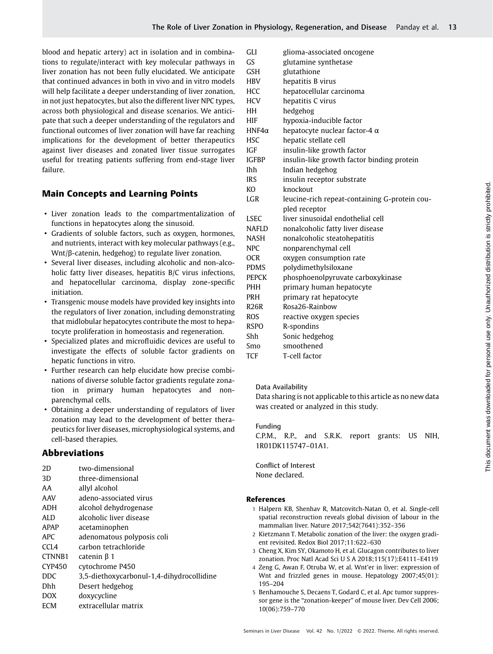blood and hepatic artery) act in isolation and in combinations to regulate/interact with key molecular pathways in liver zonation has not been fully elucidated. We anticipate that continued advances in both in vivo and in vitro models will help facilitate a deeper understanding of liver zonation, in not just hepatocytes, but also the different liver NPC types, across both physiological and disease scenarios. We anticipate that such a deeper understanding of the regulators and functional outcomes of liver zonation will have far reaching implications for the development of better therapeutics against liver diseases and zonated liver tissue surrogates useful for treating patients suffering from end-stage liver failure.

# Main Concepts and Learning Points

- Liver zonation leads to the compartmentalization of functions in hepatocytes along the sinusoid.
- Gradients of soluble factors, such as oxygen, hormones, and nutrients, interact with key molecular pathways (e.g., Wnt/β-catenin, hedgehog) to regulate liver zonation.
- Several liver diseases, including alcoholic and non-alcoholic fatty liver diseases, hepatitis B/C virus infections, and hepatocellular carcinoma, display zone-specific initiation.
- Transgenic mouse models have provided key insights into the regulators of liver zonation, including demonstrating that midlobular hepatocytes contribute the most to hepatocyte proliferation in homeostasis and regeneration.
- Specialized plates and microfluidic devices are useful to investigate the effects of soluble factor gradients on hepatic functions in vitro.
- Further research can help elucidate how precise combinations of diverse soluble factor gradients regulate zonation in primary human hepatocytes and nonparenchymal cells.
- Obtaining a deeper understanding of regulators of liver zonation may lead to the development of better therapeutics for liver diseases, microphysiological systems, and cell-based therapies.

# Abbreviations

| two-dimensional                           |
|-------------------------------------------|
| three-dimensional                         |
| allyl alcohol                             |
| adeno-associated virus                    |
| alcohol dehydrogenase                     |
| alcoholic liver disease                   |
| acetaminophen                             |
| adenomatous polyposis coli                |
| carbon tetrachloride                      |
| $catenin \beta$ 1                         |
| cytochrome P450                           |
| 3,5-diethoxycarbonul-1,4-dihydrocollidine |
| Desert hedgehog                           |
| doxycycline                               |
| extracellular matrix                      |
|                                           |

| <b>GLI</b>    | glioma-associated oncogene                    |
|---------------|-----------------------------------------------|
| GS            | glutamine synthetase                          |
| <b>GSH</b>    | glutathione                                   |
| HBV           | hepatitis B virus                             |
| <b>HCC</b>    | hepatocellular carcinoma                      |
| <b>HCV</b>    | hepatitis C virus                             |
| HН            | hedgehog                                      |
| <b>HIF</b>    | hypoxia-inducible factor                      |
| HNF4 $\alpha$ | hepatocyte nuclear factor-4 $\alpha$          |
| <b>HSC</b>    | hepatic stellate cell                         |
| IGF           | insulin-like growth factor                    |
| <b>IGFBP</b>  | insulin-like growth factor binding protein    |
| <b>Ihh</b>    | Indian hedgehog                               |
| <b>IRS</b>    | insulin receptor substrate                    |
| KO            | knockout                                      |
| <b>LGR</b>    | leucine-rich repeat-containing G-protein cou- |
|               | pled receptor                                 |
| <b>LSEC</b>   | liver sinusoidal endothelial cell             |
|               |                                               |
| <b>NAFLD</b>  | nonalcoholic fatty liver disease              |
| <b>NASH</b>   | nonalcoholic steatohepatitis                  |
| <b>NPC</b>    | nonparenchymal cell                           |
| 0CR           | oxygen consumption rate                       |
| <b>PDMS</b>   | polydimethylsiloxane                          |
| <b>PEPCK</b>  | phosphoenolpyruvate carboxykinase             |
| <b>PHH</b>    | primary human hepatocyte                      |
| PRH           | primary rat hepatocyte                        |
| <b>R26R</b>   | Rosa26-Rainbow                                |
| <b>ROS</b>    | reactive oxygen species                       |
| <b>RSPO</b>   | R-spondins                                    |
| Shh           | Sonic hedgehog                                |
| Smo           | smoothened                                    |
| <b>TCF</b>    | T-cell factor                                 |

### Data Availability

Data sharing is not applicable to this article as no new data was created or analyzed in this study.

### Funding

C.P.M., R.P., and S.R.K. report grants: US NIH, 1R01DK115747–01A1.

Conflict of Interest None declared.

# References

- 1 Halpern KB, Shenhav R, Matcovitch-Natan O, et al. Single-cell spatial reconstruction reveals global division of labour in the mammalian liver. Nature 2017;542(7641):352–356
- 2 Kietzmann T. Metabolic zonation of the liver: the oxygen gradient revisited. Redox Biol 2017;11:622–630
- 3 Cheng X, Kim SY, Okamoto H, et al. Glucagon contributes to liver zonation. Proc Natl Acad Sci U S A 2018;115(17):E4111–E4119
- 4 Zeng G, Awan F, Otruba W, et al. Wnt'er in liver: expression of Wnt and frizzled genes in mouse. Hepatology 2007;45(01): 195–204
- 5 Benhamouche S, Decaens T, Godard C, et al. Apc tumor suppressor gene is the "zonation-keeper" of mouse liver. Dev Cell 2006; 10(06):759–770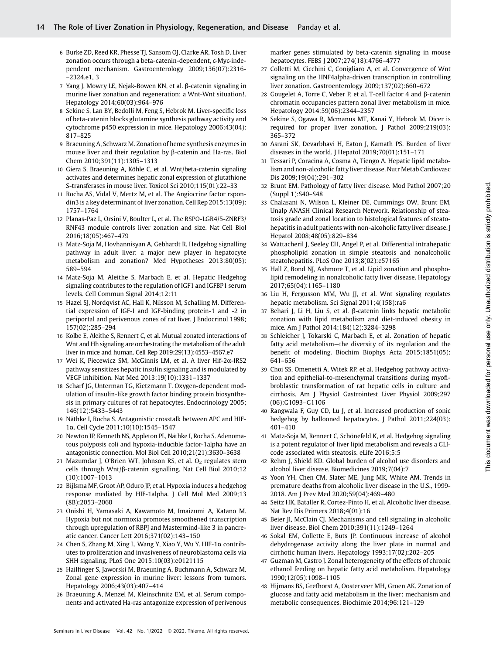- 6 Burke ZD, Reed KR, Phesse TJ, Sansom OJ, Clarke AR, Tosh D. Liver zonation occurs through a beta-catenin-dependent, c-Myc-independent mechanism. Gastroenterology 2009;136(07):2316- –2324.e1, 3
- 7 Yang J, Mowry LE, Nejak-Bowen KN, et al. β-catenin signaling in murine liver zonation and regeneration: a Wnt-Wnt situation!. Hepatology 2014;60(03):964–976
- 8 Sekine S, Lan BY, Bedolli M, Feng S, Hebrok M. Liver-specific loss of beta-catenin blocks glutamine synthesis pathway activity and cytochrome p450 expression in mice. Hepatology 2006;43(04): 817–825
- 9 Braeuning A, Schwarz M. Zonation of heme synthesis enzymes in mouse liver and their regulation by β-catenin and Ha-ras. Biol Chem 2010;391(11):1305–1313
- 10 Giera S, Braeuning A, Köhle C, et al. Wnt/beta-catenin signaling activates and determines hepatic zonal expression of glutathione S-transferases in mouse liver. Toxicol Sci 2010;115(01):22–33
- 11 Rocha AS, Vidal V, Mertz M, et al. The Angiocrine factor rspondin3 is a key determinant of liver zonation. Cell Rep 2015;13(09): 1757–1764
- 12 Planas-Paz L, Orsini V, Boulter L, et al. The RSPO-LGR4/5-ZNRF3/ RNF43 module controls liver zonation and size. Nat Cell Biol 2016;18(05):467–479
- 13 Matz-Soja M, Hovhannisyan A, Gebhardt R. Hedgehog signalling pathway in adult liver: a major new player in hepatocyte metabolism and zonation? Med Hypotheses 2013;80(05): 589–594
- 14 Matz-Soja M, Aleithe S, Marbach E, et al. Hepatic Hedgehog signaling contributes to the regulation of IGF1 and IGFBP1 serum levels. Cell Commun Signal 2014;12:11
- 15 Hazel SJ, Nordqvist AC, Hall K, Nilsson M, Schalling M. Differential expression of IGF-I and IGF-binding protein-1 and -2 in periportal and perivenous zones of rat liver. J Endocrinol 1998; 157(02):285–294
- 16 Kolbe E, Aleithe S, Rennert C, et al. Mutual zonated interactions of Wnt and Hh signaling are orchestrating the metabolism of the adult liver in mice and human. Cell Rep 2019;29(13):4553–4567.e7
- 17 Wei K, Piecewicz SM, McGinnis LM, et al. A liver Hif-2α-IRS2 pathway sensitizes hepatic insulin signaling and is modulated by VEGF inhibition. Nat Med 2013;19(10):1331–1337
- 18 Scharf JG, Unterman TG, Kietzmann T. Oxygen-dependent modulation of insulin-like growth factor binding protein biosynthesis in primary cultures of rat hepatocytes. Endocrinology 2005; 146(12):5433–5443
- 19 Näthke I, Rocha S. Antagonistic crosstalk between APC and HIF-1α. Cell Cycle 2011;10(10):1545–1547
- 20 Newton IP, Kenneth NS, Appleton PL, Näthke I, Rocha S. Adenomatous polyposis coli and hypoxia-inducible factor-1alpha have an antagonistic connection. Mol Biol Cell 2010;21(21):3630–3638
- 21 Mazumdar J, O'Brien WT, Johnson RS, et al.  $O<sub>2</sub>$  regulates stem cells through Wnt/β-catenin signalling. Nat Cell Biol 2010;12 (10):1007–1013
- 22 Bijlsma MF, Groot AP, Oduro JP, et al. Hypoxia induces a hedgehog response mediated by HIF-1alpha. J Cell Mol Med 2009;13 (8B):2053–2060
- 23 Onishi H, Yamasaki A, Kawamoto M, Imaizumi A, Katano M. Hypoxia but not normoxia promotes smoothened transcription through upregulation of RBPJ and Mastermind-like 3 in pancreatic cancer. Cancer Lett 2016;371(02):143–150
- 24 Chen S, Zhang M, Xing L, Wang Y, Xiao Y, Wu Y. HIF-1α contributes to proliferation and invasiveness of neuroblastoma cells via SHH signaling. PLoS One 2015;10(03):e0121115
- 25 Hailfinger S, Jaworski M, Braeuning A, Buchmann A, Schwarz M. Zonal gene expression in murine liver: lessons from tumors. Hepatology 2006;43(03):407–414
- 26 Braeuning A, Menzel M, Kleinschnitz EM, et al. Serum components and activated Ha-ras antagonize expression of perivenous

marker genes stimulated by beta-catenin signaling in mouse hepatocytes. FEBS J 2007;274(18):4766–4777

- 27 Colletti M, Cicchini C, Conigliaro A, et al. Convergence of Wnt signaling on the HNF4alpha-driven transcription in controlling liver zonation. Gastroenterology 2009;137(02):660–672
- 28 Gougelet A, Torre C, Veber P, et al. T-cell factor 4 and β-catenin chromatin occupancies pattern zonal liver metabolism in mice. Hepatology 2014;59(06):2344–2357
- 29 Sekine S, Ogawa R, Mcmanus MT, Kanai Y, Hebrok M. Dicer is required for proper liver zonation. J Pathol 2009;219(03): 365–372
- 30 Asrani SK, Devarbhavi H, Eaton J, Kamath PS. Burden of liver diseases in the world. J Hepatol 2019;70(01):151–171
- 31 Tessari P, Coracina A, Cosma A, Tiengo A. Hepatic lipid metabolism and non-alcoholic fatty liver disease. Nutr Metab Cardiovasc Dis 2009;19(04):291–302
- 32 Brunt EM. Pathology of fatty liver disease. Mod Pathol 2007;20 (Suppl 1):S40–S48
- 33 Chalasani N, Wilson L, Kleiner DE, Cummings OW, Brunt EM, Unalp ANASH Clinical Research Network. Relationship of steatosis grade and zonal location to histological features of steatohepatitis in adult patients with non-alcoholic fatty liver disease. J Hepatol 2008;48(05):829–834
- 34 Wattacheril J, Seeley EH, Angel P, et al. Differential intrahepatic phospholipid zonation in simple steatosis and nonalcoholic steatohepatitis. PLoS One 2013;8(02):e57165
- 35 Hall Z, Bond NJ, Ashmore T, et al. Lipid zonation and phospholipid remodeling in nonalcoholic fatty liver disease. Hepatology 2017;65(04):1165–1180
- 36 Liu H, Fergusson MM, Wu JJ, et al. Wnt signaling regulates hepatic metabolism. Sci Signal 2011;4(158):ra6
- 37 Behari J, Li H, Liu S, et al. β-catenin links hepatic metabolic zonation with lipid metabolism and diet-induced obesity in mice. Am J Pathol 2014;184(12):3284–3298
- 38 Schleicher J, Tokarski C, Marbach E, et al. Zonation of hepatic fatty acid metabolism—the diversity of its regulation and the benefit of modeling. Biochim Biophys Acta 2015;1851(05): 641–656
- 39 Choi SS, Omenetti A, Witek RP, et al. Hedgehog pathway activation and epithelial-to-mesenchymal transitions during myofibroblastic transformation of rat hepatic cells in culture and cirrhosis. Am J Physiol Gastrointest Liver Physiol 2009;297 (06):G1093–G1106
- 40 Rangwala F, Guy CD, Lu J, et al. Increased production of sonic hedgehog by ballooned hepatocytes. J Pathol 2011;224(03): 401–410
- 41 Matz-Soja M, Rennert C, Schönefeld K, et al. Hedgehog signaling is a potent regulator of liver lipid metabolism and reveals a GLIcode associated with steatosis. eLife 2016;5:5
- 42 Rehm J, Shield KD. Global burden of alcohol use disorders and alcohol liver disease. Biomedicines 2019;7(04):7
- 43 Yoon YH, Chen CM, Slater ME, Jung MK, White AM. Trends in premature deaths from alcoholic liver disease in the U.S., 1999- 2018. Am J Prev Med 2020;59(04):469–480
- 44 Seitz HK, Bataller R, Cortez-Pinto H, et al. Alcoholic liver disease. Nat Rev Dis Primers 2018;4(01):16
- 45 Beier JI, McClain CJ. Mechanisms and cell signaling in alcoholic liver disease. Biol Chem 2010;391(11):1249–1264
- 46 Sokal EM, Collette E, Buts JP. Continuous increase of alcohol dehydrogenase activity along the liver plate in normal and cirrhotic human livers. Hepatology 1993;17(02):202–205
- 47 Guzman M, Castro J. Zonal heterogeneity of the effects of chronic ethanol feeding on hepatic fatty acid metabolism. Hepatology 1990;12(05):1098–1105
- 48 Hijmans BS, Grefhorst A, Oosterveer MH, Groen AK. Zonation of glucose and fatty acid metabolism in the liver: mechanism and metabolic consequences. Biochimie 2014;96:121–129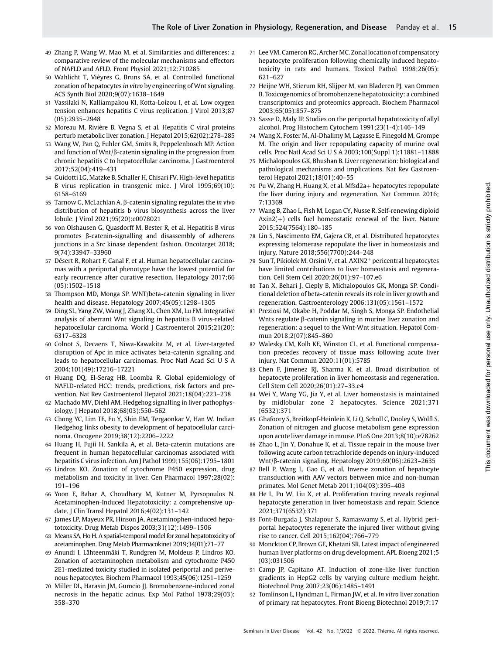- 49 Zhang P, Wang W, Mao M, et al. Similarities and differences: a comparative review of the molecular mechanisms and effectors of NAFLD and AFLD. Front Physiol 2021;12:710285
- 50 Wahlicht T, Vièyres G, Bruns SA, et al. Controlled functional zonation of hepatocytes in vitro by engineering of Wnt signaling. ACS Synth Biol 2020;9(07):1638–1649
- 51 Vassilaki N, Kalliampakou KI, Kotta-Loizou I, et al. Low oxygen tension enhances hepatitis C virus replication. J Virol 2013;87 (05):2935–2948
- 52 Moreau M, Rivière B, Vegna S, et al. Hepatitis C viral proteins perturb metabolic liver zonation. J Hepatol 2015;62(02):278–285
- 53 Wang W, Pan Q, Fuhler GM, Smits R, Peppelenbosch MP. Action and function of Wnt/β-catenin signaling in the progression from chronic hepatitis C to hepatocellular carcinoma. J Gastroenterol 2017;52(04):419–431
- 54 Guidotti LG, Matzke B, Schaller H, Chisari FV. High-level hepatitis B virus replication in transgenic mice. J Virol 1995;69(10): 6158–6169
- 55 Tarnow G, McLachlan A. β-catenin signaling regulates the in vivo distribution of hepatitis b virus biosynthesis across the liver lobule. J Virol 2021;95(20):e0078021
- 56 von Olshausen G, Quasdorff M, Bester R, et al. Hepatitis B virus promotes β-catenin-signalling and disassembly of adherens junctions in a Src kinase dependent fashion. Oncotarget 2018; 9(74):33947–33960
- 57 Désert R, Rohart F, Canal F, et al. Human hepatocellular carcinomas with a periportal phenotype have the lowest potential for early recurrence after curative resection. Hepatology 2017;66 (05):1502–1518
- 58 Thompson MD, Monga SP. WNT/beta-catenin signaling in liver health and disease. Hepatology 2007;45(05):1298–1305
- 59 Ding SL, Yang ZW, Wang J, Zhang XL, Chen XM, Lu FM. Integrative analysis of aberrant Wnt signaling in hepatitis B virus-related hepatocellular carcinoma. World J Gastroenterol 2015;21(20): 6317–6328
- 60 Colnot S, Decaens T, Niwa-Kawakita M, et al. Liver-targeted disruption of Apc in mice activates beta-catenin signaling and leads to hepatocellular carcinomas. Proc Natl Acad Sci U S A 2004;101(49):17216–17221
- 61 Huang DQ, El-Serag HB, Loomba R. Global epidemiology of NAFLD-related HCC: trends, predictions, risk factors and prevention. Nat Rev Gastroenterol Hepatol 2021;18(04):223–238
- 62 Machado MV, Diehl AM. Hedgehog signalling in liver pathophysiology. J Hepatol 2018;68(03):550–562
- 63 Chong YC, Lim TE, Fu Y, Shin EM, Tergaonkar V, Han W. Indian Hedgehog links obesity to development of hepatocellular carcinoma. Oncogene 2019;38(12):2206–2222
- 64 Huang H, Fujii H, Sankila A, et al. Beta-catenin mutations are frequent in human hepatocellular carcinomas associated with hepatitis C virus infection. Am J Pathol 1999;155(06):1795–1801
- 65 Lindros KO. Zonation of cytochrome P450 expression, drug metabolism and toxicity in liver. Gen Pharmacol 1997;28(02): 191–196
- 66 Yoon E, Babar A, Choudhary M, Kutner M, Pyrsopoulos N. Acetaminophen-Induced Hepatotoxicity: a comprehensive update. J Clin Transl Hepatol 2016;4(02):131–142
- 67 James LP, Mayeux PR, Hinson JA. Acetaminophen-induced hepatotoxicity. Drug Metab Dispos 2003;31(12):1499–1506
- 68 Means SA, Ho H. A spatial-temporal model for zonal hepatotoxicity of acetaminophen. Drug Metab Pharmacokinet 2019;34(01):71–77
- 69 Anundi I, Lähteenmäki T, Rundgren M, Moldeus P, Lindros KO. Zonation of acetaminophen metabolism and cytochrome P450 2E1-mediated toxicity studied in isolated periportal and perivenous hepatocytes. Biochem Pharmacol 1993;45(06):1251–1259
- 70 Miller DL, Harasin JM, Gumcio JJ. Bromobenzene-induced zonal necrosis in the hepatic acinus. Exp Mol Pathol 1978;29(03): 358–370
- 71 Lee VM, Cameron RG, Archer MC. Zonal location of compensatory hepatocyte proliferation following chemically induced hepatotoxicity in rats and humans. Toxicol Pathol 1998;26(05): 621–627
- 72 Heijne WH, Stierum RH, Slijper M, van Bladeren PJ, van Ommen B. Toxicogenomics of bromobenzene hepatotoxicity: a combined transcriptomics and proteomics approach. Biochem Pharmacol 2003;65(05):857–875
- 73 Sasse D, Maly IP. Studies on the periportal hepatotoxicity of allyl alcohol. Prog Histochem Cytochem 1991;23(1-4):146–149
- 74 Wang X, Foster M, Al-Dhalimy M, Lagasse E, Finegold M, Grompe M. The origin and liver repopulating capacity of murine oval cells. Proc Natl Acad Sci U S A 2003;100(Suppl 1):11881–11888
- 75 Michalopoulos GK, Bhushan B. Liver regeneration: biological and pathological mechanisms and implications. Nat Rev Gastroenterol Hepatol 2021;18(01):40–55
- 76 Pu W, Zhang H, Huang X, et al. Mfsd $2a+$  hepatocytes repopulate the liver during injury and regeneration. Nat Commun 2016; 7:13369
- 77 Wang B, Zhao L, Fish M, Logan CY, Nusse R. Self-renewing diploid  $Axin2(+)$  cells fuel homeostatic renewal of the liver. Nature 2015;524(7564):180–185
- 78 Lin S, Nascimento EM, Gajera CR, et al. Distributed hepatocytes expressing telomerase repopulate the liver in homeostasis and injury. Nature 2018;556(7700):244–248
- 79 Sun T, Pikiolek M, Orsini V, et al.  $AXIN2<sup>+</sup>$  pericentral hepatocytes have limited contributions to liver homeostasis and regeneration. Cell Stem Cell 2020;26(01):97–107.e6
- 80 Tan X, Behari J, Cieply B, Michalopoulos GK, Monga SP. Conditional deletion of beta-catenin reveals its role in liver growth and regeneration. Gastroenterology 2006;131(05):1561–1572
- 81 Preziosi M, Okabe H, Poddar M, Singh S, Monga SP. Endothelial Wnts regulate β-catenin signaling in murine liver zonation and regeneration: a sequel to the Wnt-Wnt situation. Hepatol Commun 2018;2(07):845–860
- 82 Walesky CM, Kolb KE, Winston CL, et al. Functional compensation precedes recovery of tissue mass following acute liver injury. Nat Commun 2020;11(01):5785
- 83 Chen F, Jimenez RJ, Sharma K, et al. Broad distribution of hepatocyte proliferation in liver homeostasis and regeneration. Cell Stem Cell 2020;26(01):27–33.e4
- 84 Wei Y, Wang YG, Jia Y, et al. Liver homeostasis is maintained by midlobular zone 2 hepatocytes. Science 2021;371 (6532):371
- 85 Ghafoory S, Breitkopf-Heinlein K, Li Q, Scholl C, Dooley S, Wölfl S. Zonation of nitrogen and glucose metabolism gene expression upon acute liver damage in mouse. PLoS One 2013;8(10):e78262
- 86 Zhao L, Jin Y, Donahue K, et al. Tissue repair in the mouse liver following acute carbon tetrachloride depends on injury-induced Wnt/β-catenin signaling. Hepatology 2019;69(06):2623–2635
- 87 Bell P, Wang L, Gao G, et al. Inverse zonation of hepatocyte transduction with AAV vectors between mice and non-human primates. Mol Genet Metab 2011;104(03):395–403
- 88 He L, Pu W, Liu X, et al. Proliferation tracing reveals regional hepatocyte generation in liver homeostasis and repair. Science 2021;371(6532):371
- 89 Font-Burgada J, Shalapour S, Ramaswamy S, et al. Hybrid periportal hepatocytes regenerate the injured liver without giving rise to cancer. Cell 2015;162(04):766–779
- 90 Monckton CP, Brown GE, Khetani SR. Latest impact of engineered human liver platforms on drug development. APL Bioeng 2021;5 (03):031506
- 91 Camp JP, Capitano AT. Induction of zone-like liver function gradients in HepG2 cells by varying culture medium height. Biotechnol Prog 2007;23(06):1485–1491
- 92 Tomlinson L, Hyndman L, Firman JW, et al. In vitro liver zonation of primary rat hepatocytes. Front Bioeng Biotechnol 2019;7:17